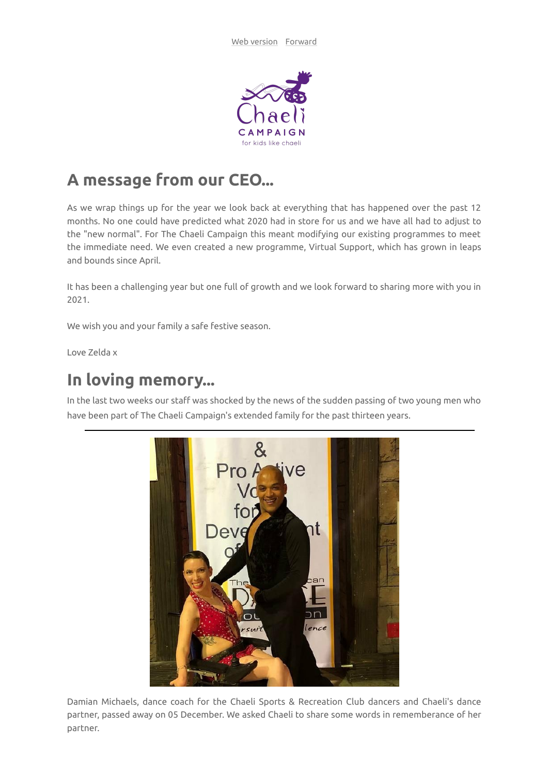

## **A message from our CEO...**

As we wrap things up for the year we look back at everything that has happened over the past 12 months. No one could have predicted what 2020 had in store for us and we have all had to adjust to the "new normal". For The Chaeli Campaign this meant modifying our existing programmes to meet the immediate need. We even created a new programme, Virtual Support, which has grown in leaps and bounds since April.

It has been a challenging year but one full of growth and we look forward to sharing more with you in 2021.

We wish you and your family a safe festive season.

Love Zelda x

## **In loving memory...**

In the last two weeks our staff was shocked by the news of the sudden passing of two young men who have been part of The Chaeli Campaign's extended family for the past thirteen years.



Damian Michaels, dance coach for the Chaeli Sports & Recreation Club dancers and Chaeli's dance partner, passed away on 05 December. We asked Chaeli to share some words in rememberance of her partner.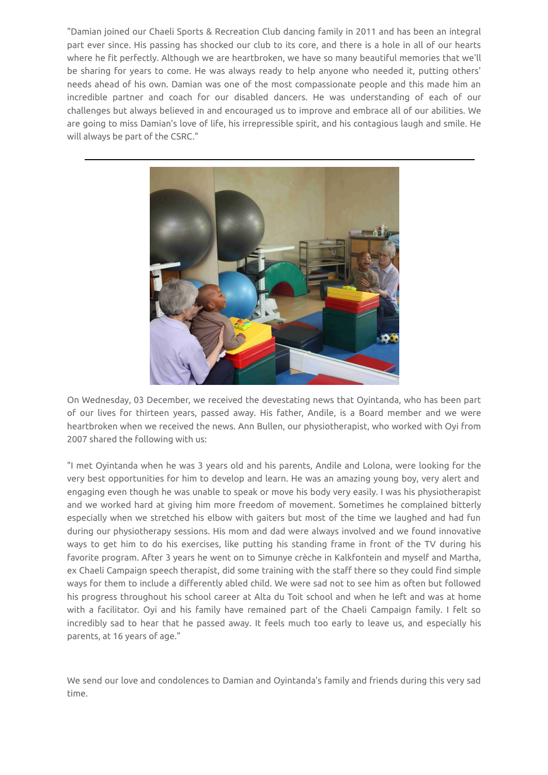"Damian joined our Chaeli Sports & Recreation Club dancing family in 2011 and has been an integral part ever since. His passing has shocked our club to its core, and there is a hole in all of our hearts where he fit perfectly. Although we are heartbroken, we have so many beautiful memories that we'll be sharing for years to come. He was always ready to help anyone who needed it, putting others' needs ahead of his own. Damian was one of the most compassionate people and this made him an incredible partner and coach for our disabled dancers. He was understanding of each of our challenges but always believed in and encouraged us to improve and embrace all of our abilities. We are going to miss Damian's love of life, his irrepressible spirit, and his contagious laugh and smile. He will always be part of the CSRC."



On Wednesday, 03 December, we received the devestating news that Oyintanda, who has been part of our lives for thirteen years, passed away. His father, Andile, is a Board member and we were heartbroken when we received the news. Ann Bullen, our physiotherapist, who worked with Oyi from 2007 shared the following with us:

"I met Oyintanda when he was 3 years old and his parents, Andile and Lolona, were looking for the very best opportunities for him to develop and learn. He was an amazing young boy, very alert and engaging even though he was unable to speak or move his body very easily. I was his physiotherapist and we worked hard at giving him more freedom of movement. Sometimes he complained bitterly especially when we stretched his elbow with gaiters but most of the time we laughed and had fun during our physiotherapy sessions. His mom and dad were always involved and we found innovative ways to get him to do his exercises, like putting his standing frame in front of the TV during his favorite program. After 3 years he went on to Simunye crèche in Kalkfontein and myself and Martha, ex Chaeli Campaign speech therapist, did some training with the staff there so they could find simple ways for them to include a differently abled child. We were sad not to see him as often but followed his progress throughout his school career at Alta du Toit school and when he left and was at home with a facilitator. Oyi and his family have remained part of the Chaeli Campaign family. I felt so incredibly sad to hear that he passed away. It feels much too early to leave us, and especially his parents, at 16 years of age."

We send our love and condolences to Damian and Oyintanda's family and friends during this very sad time.